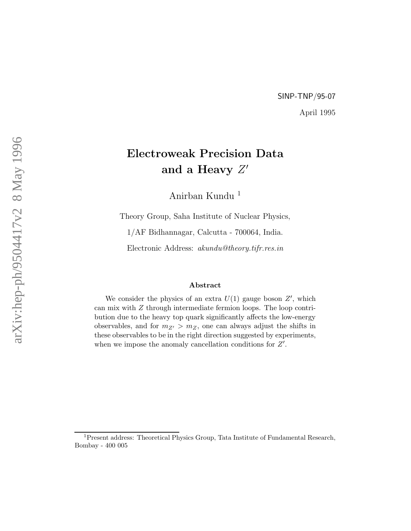## SINP-TNP/95-07 April 1995

# Electroweak Precision Data and a Heavy  $Z^\prime$

Anirban Kundu <sup>1</sup>

Theory Group, Saha Institute of Nuclear Physics,

1/AF Bidhannagar, Calcutta - 700064, India.

Electronic Address: akundu@theory.tifr.res.in

#### Abstract

We consider the physics of an extra  $U(1)$  gauge boson  $Z'$ , which can mix with Z through intermediate fermion loops. The loop contribution due to the heavy top quark significantly affects the low-energy observables, and for  $m_{Z'} > m_Z$ , one can always adjust the shifts in these observables to be in the right direction suggested by experiments, when we impose the anomaly cancellation conditions for  $Z'$ .

<sup>&</sup>lt;sup>1</sup>Present address: Theoretical Physics Group, Tata Institute of Fundamental Research, Bombay - 400 005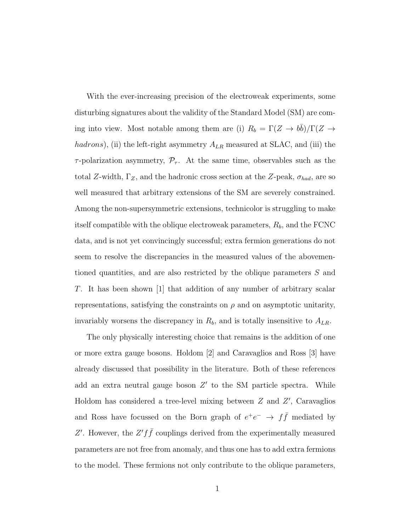With the ever-increasing precision of the electroweak experiments, some disturbing signatures about the validity of the Standard Model (SM) are coming into view. Most notable among them are (i)  $R_b = \Gamma(Z \to b\bar{b})/\Gamma(Z \to b\bar{b})$ hadrons), (ii) the left-right asymmetry  $A_{LR}$  measured at SLAC, and (iii) the  $\tau$ -polarization asymmetry,  $\mathcal{P}_{\tau}$ . At the same time, observables such as the total Z-width,  $\Gamma_Z$ , and the hadronic cross section at the Z-peak,  $\sigma_{had}$ , are so well measured that arbitrary extensions of the SM are severely constrained. Among the non-supersymmetric extensions, technicolor is struggling to make itself compatible with the oblique electroweak parameters,  $R_b$ , and the FCNC data, and is not yet convincingly successful; extra fermion generations do not seem to resolve the discrepancies in the measured values of the abovementioned quantities, and are also restricted by the oblique parameters S and T. It has been shown [1] that addition of any number of arbitrary scalar representations, satisfying the constraints on  $\rho$  and on asymptotic unitarity, invariably worsens the discrepancy in  $R_b$ , and is totally insensitive to  $A_{LR}$ .

The only physically interesting choice that remains is the addition of one or more extra gauge bosons. Holdom [2] and Caravaglios and Ross [3] have already discussed that possibility in the literature. Both of these references add an extra neutral gauge boson  $Z'$  to the SM particle spectra. While Holdom has considered a tree-level mixing between  $Z$  and  $Z'$ , Caravaglios and Ross have focussed on the Born graph of  $e^+e^- \rightarrow f\bar{f}$  mediated by Z'. However, the  $Z' f \bar{f}$  couplings derived from the experimentally measured parameters are not free from anomaly, and thus one has to add extra fermions to the model. These fermions not only contribute to the oblique parameters,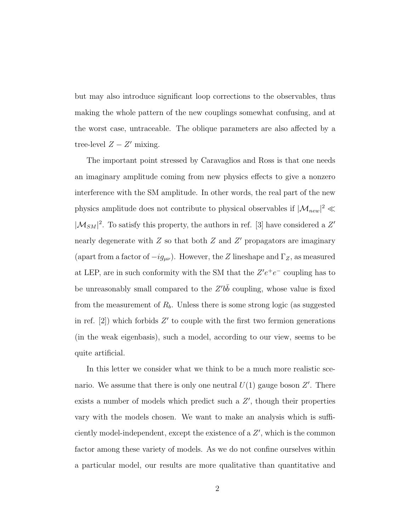but may also introduce significant loop corrections to the observables, thus making the whole pattern of the new couplings somewhat confusing, and at the worst case, untraceable. The oblique parameters are also affected by a tree-level  $Z - Z'$  mixing.

The important point stressed by Caravaglios and Ross is that one needs an imaginary amplitude coming from new physics effects to give a nonzero interference with the SM amplitude. In other words, the real part of the new physics amplitude does not contribute to physical observables if  $|\mathcal{M}_{new}|^2 \ll$  $|\mathcal{M}_{SM}|^2.$  To satisfy this property, the authors in ref. [3] have considered a  $Z'$ nearly degenerate with  $Z$  so that both  $Z$  and  $Z'$  propagators are imaginary (apart from a factor of  $-i g_{\mu\nu}$ ). However, the Z lineshape and  $\Gamma_Z$ , as measured at LEP, are in such conformity with the SM that the  $Z'e^+e^-$  coupling has to be unreasonably small compared to the  $Z'b\bar{b}$  coupling, whose value is fixed from the measurement of  $R_b$ . Unless there is some strong logic (as suggested in ref.  $[2]$ ) which forbids  $Z'$  to couple with the first two fermion generations (in the weak eigenbasis), such a model, according to our view, seems to be quite artificial.

In this letter we consider what we think to be a much more realistic scenario. We assume that there is only one neutral  $U(1)$  gauge boson  $Z'$ . There exists a number of models which predict such a  $Z'$ , though their properties vary with the models chosen. We want to make an analysis which is sufficiently model-independent, except the existence of a  $Z'$ , which is the common factor among these variety of models. As we do not confine ourselves within a particular model, our results are more qualitative than quantitative and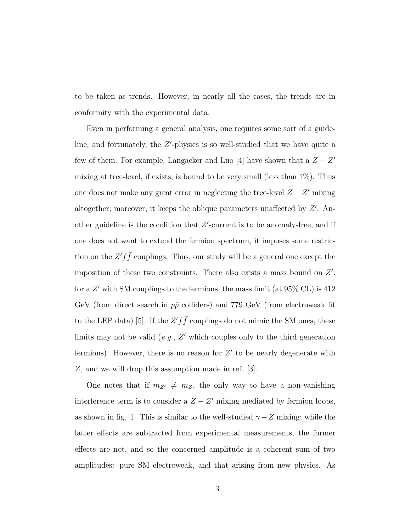to be taken as trends. However, in nearly all the cases, the trends are in conformity with the experimental data.

Even in performing a general analysis, one requires some sort of a guideline, and fortunately, the Z'-physics is so well-studied that we have quite a few of them. For example, Langacker and Luo [4] have shown that a  $Z - Z'$ mixing at tree-level, if exists, is bound to be very small (less than 1%). Thus one does not make any great error in neglecting the tree-level  $Z - Z'$  mixing altogether; moreover, it keeps the oblique parameters unaffected by  $Z'$ . Another guideline is the condition that  $Z'$ -current is to be anomaly-free, and if one does not want to extend the fermion spectrum, it imposes some restriction on the  $Z' f \bar{f}$  couplings. Thus, our study will be a general one except the imposition of these two constraints. There also exists a mass bound on  $Z'$ : for a Z' with SM couplings to the fermions, the mass limit (at 95\% CL) is 412 GeV (from direct search in  $p\bar{p}$  colliders) and 779 GeV (from electroweak fit to the LEP data) [5]. If the  $Z' f \bar{f}$  couplings do not mimic the SM ones, these limits may not be valid  $(e.g., Z'$  which couples only to the third generation fermions). However, there is no reason for  $Z'$  to be nearly degenerate with Z, and we will drop this assumption made in ref. [3].

One notes that if  $m_{Z'} \neq m_Z$ , the only way to have a non-vanishing interference term is to consider a  $Z - Z'$  mixing mediated by fermion loops, as shown in fig. 1. This is similar to the well-studied  $\gamma - Z$  mixing; while the latter effects are subtracted from experimental measurements, the former effects are not, and so the concerned amplitude is a coherent sum of two amplitudes: pure SM electroweak, and that arising from new physics. As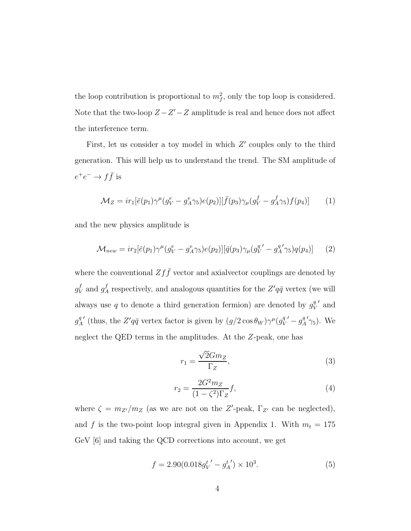the loop contribution is proportional to  $m_f^2$ , only the top loop is considered. Note that the two-loop  $Z - Z' - Z$  amplitude is real and hence does not affect the interference term.

First, let us consider a toy model in which  $Z'$  couples only to the third generation. This will help us to understand the trend. The SM amplitude of  $e^+e^- \to f\bar{f}$  is

$$
\mathcal{M}_Z = ir_1[\bar{e}(p_1)\gamma^{\mu}(g_V^e - g_A^e \gamma_5)e(p_2)][\bar{f}(p_3)\gamma_{\mu}(g_V^f - g_A^f \gamma_5)f(p_4)] \tag{1}
$$

and the new physics amplitude is

$$
\mathcal{M}_{new} = ir_2[\bar{e}(p_1)\gamma^{\mu}(g_V^e - g_A^e \gamma_5)e(p_2)][\bar{q}(p_3)\gamma_{\mu}(g_V^{q'} - g_A^{q'} \gamma_5)q(p_4)] \tag{2}
$$

where the conventional  $Zf\bar{f}$  vector and axial<br>vector couplings are denoted by  $g_V^f$  and  $g_A^f$  respectively, and analogous quantities for the  $Z'q\bar{q}$  vertex (we will always use q to denote a third generation fermion) are denoted by  $g_V^q$ V ′ and  $g^q_{\neq}$ A ' (thus, the  $Z'q\bar{q}$  vertex factor is given by  $(g/2\cos\theta_W)\gamma^{\mu}(g_V^q)$ V  $\prime - g^q_{\n\ell}$ A  $'\gamma_5$ ). We neglect the QED terms in the amplitudes. At the Z-peak, one has

$$
r_1 = \frac{\sqrt{2}Gm_Z}{\Gamma_Z},\tag{3}
$$

$$
r_2 = \frac{2G^2 m_Z}{(1 - \zeta^2)\Gamma_Z} f,\tag{4}
$$

where  $\zeta = m_{Z'}/m_Z$  (as we are not on the Z'-peak,  $\Gamma_{Z'}$  can be neglected), and f is the two-point loop integral given in Appendix 1. With  $m_t = 175$ GeV [6] and taking the QCD corrections into account, we get

$$
f = 2.90(0.018g_V^{t'} - g_A^{t'}) \times 10^3.
$$
 (5)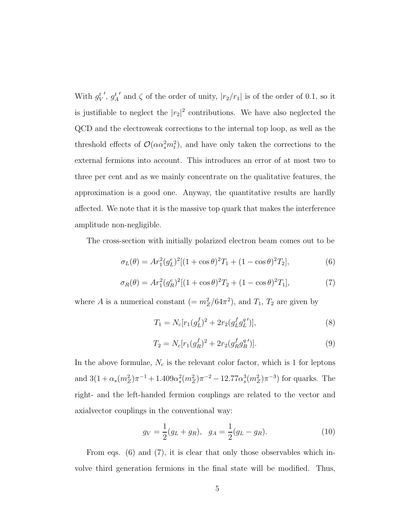With  $g_V^t$  $'$ ,  $g_A^t$ ' and  $\zeta$  of the order of unity,  $|r_2/r_1|$  is of the order of 0.1, so it is justifiable to neglect the  $|r_2|^2$  contributions. We have also neglected the QCD and the electroweak corrections to the internal top loop, as well as the threshold effects of  $\mathcal{O}(\alpha \alpha_s^2 m_t^2)$ , and have only taken the corrections to the external fermions into account. This introduces an error of at most two to three per cent and as we mainly concentrate on the qualitative features, the approximation is a good one. Anyway, the quantitative results are hardly affected. We note that it is the massive top quark that makes the interference amplitude non-negligible.

The cross-section with initially polarized electron beam comes out to be

$$
\sigma_L(\theta) = Ar_1^2(g_L^e)^2[(1+\cos\theta)^2T_1 + (1-\cos\theta)^2T_2],\tag{6}
$$

$$
\sigma_R(\theta) = Ar_1^2(g_R^e)^2[(1+\cos\theta)^2T_2 + (1-\cos\theta)^2T_1],\tag{7}
$$

where A is a numerical constant  $(= m_Z^2/64\pi^2)$ , and  $T_1, T_2$  are given by

$$
T_1 = N_c[r_1(g_L^f)^2 + 2r_2(g_L^fg_L^q)],\tag{8}
$$

$$
T_2 = N_c[r_1(g_R^f)^2 + 2r_2(g_R^fg_R^q)].
$$
\n(9)

In the above formulae,  $N_c$  is the relevant color factor, which is 1 for leptons and  $3(1+\alpha_s(m_Z^2)\pi^{-1}+1.409\alpha_s^2)$  $\frac{2}{s}(m_Z^2)\pi^{-2} - 12.77\alpha_s^3$  $s^3(m_Z^2)\pi^{-3}$  for quarks. The right- and the left-handed fermion couplings are related to the vector and axialvector couplings in the conventional way:

$$
g_V = \frac{1}{2}(g_L + g_R), \quad g_A = \frac{1}{2}(g_L - g_R). \tag{10}
$$

From eqs. (6) and (7), it is clear that only those observables which involve third generation fermions in the final state will be modified. Thus,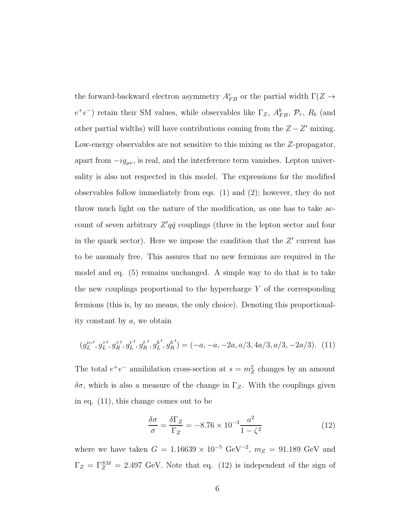the forward-backward electron asymmetry  $A_{FB}^e$  or the partial width  $\Gamma(Z \to$  $e^+e^-$ ) retain their SM values, while observables like  $\Gamma_Z$ ,  $A_{FB}^b$ ,  $\mathcal{P}_{\tau}$ ,  $R_b$  (and other partial widths) will have contributions coming from the  $Z - Z'$  mixing. Low-energy observables are not sensitive to this mixing as the Z-propagator, apart from  $-i g_{\mu\nu}$ , is real, and the interference term vanishes. Lepton universality is also not respected in this model. The expressions for the modified observables follow immediately from eqs. (1) and (2); however, they do not throw much light on the nature of the modification, as one has to take account of seven arbitrary  $Z'q\bar{q}$  couplings (three in the lepton sector and four in the quark sector). Here we impose the condition that the  $Z'$  current has to be anomaly free. This assures that no new fermions are required in the model and eq. (5) remains unchanged. A simple way to do that is to take the new couplings proportional to the hypercharge  $Y$  of the corresponding fermions (this is, by no means, the only choice). Denoting this proportionality constant by a, we obtain

$$
(g_L^{\nu_\tau}, g_L^{\tau\prime}, g_R^{\tau\prime}, g_L^{\iota\prime}, g_R^{\iota\prime}, g_L^{\iota\prime}, g_R^{\iota\prime}) = (-a, -a, -2a, a/3, 4a/3, a/3, -2a/3). \tag{11}
$$

The total  $e^+e^-$  annihilation cross-section at  $s = m_Z^2$  changes by an amount  $\delta\sigma$ , which is also a measure of the change in  $\Gamma_Z$ . With the couplings given in eq. (11), this change comes out to be

$$
\frac{\delta\sigma}{\sigma} = \frac{\delta\Gamma_Z}{\Gamma_Z} = -8.76 \times 10^{-3} \frac{a^2}{1 - \zeta^2} \tag{12}
$$

where we have taken  $G = 1.16639 \times 10^{-5} \text{ GeV}^{-2}$ ,  $m_Z = 91.189 \text{ GeV}$  and  $\Gamma_Z = \Gamma_Z^{SM} = 2.497 \text{ GeV}$ . Note that eq. (12) is independent of the sign of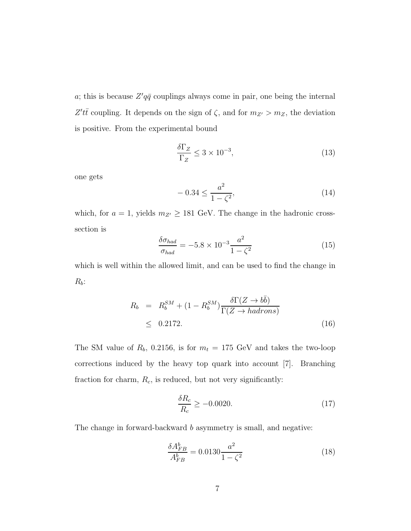a; this is because  $Z'q\bar{q}$  couplings always come in pair, one being the internal Z'tt coupling. It depends on the sign of  $\zeta$ , and for  $m_{Z'} > m_Z$ , the deviation is positive. From the experimental bound

$$
\frac{\delta\Gamma_Z}{\Gamma_Z} \le 3 \times 10^{-3},\tag{13}
$$

one gets

$$
-0.34 \le \frac{a^2}{1 - \zeta^2},\tag{14}
$$

which, for  $a = 1$ , yields  $m_{Z'} \geq 181$  GeV. The change in the hadronic crosssection is

$$
\frac{\delta \sigma_{had}}{\sigma_{had}} = -5.8 \times 10^{-3} \frac{a^2}{1 - \zeta^2}
$$
\n(15)

which is well within the allowed limit, and can be used to find the change in  $R_b$ :

$$
R_b = R_b^{SM} + (1 - R_b^{SM}) \frac{\delta \Gamma(Z \to b\bar{b})}{\Gamma(Z \to hadrons)}
$$
  
 
$$
\leq 0.2172. \tag{16}
$$

The SM value of  $R_b$ , 0.2156, is for  $m_t = 175$  GeV and takes the two-loop corrections induced by the heavy top quark into account [7]. Branching fraction for charm,  $R_c$ , is reduced, but not very significantly:

$$
\frac{\delta R_c}{R_c} \ge -0.0020.\tag{17}
$$

The change in forward-backward b asymmetry is small, and negative:

$$
\frac{\delta A_{FB}^b}{A_{FB}^b} = 0.0130 \frac{a^2}{1 - \zeta^2} \tag{18}
$$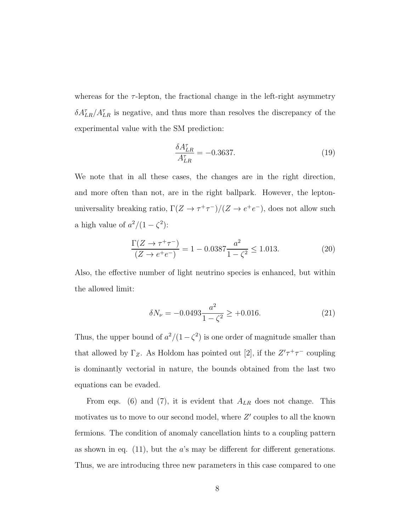whereas for the  $\tau$ -lepton, the fractional change in the left-right asymmetry  $\delta A_{LR}^{\tau}/A_{LR}^{\tau}$  is negative, and thus more than resolves the discrepancy of the experimental value with the SM prediction:

$$
\frac{\delta A_{LR}^{\tau}}{A_{LR}^{\tau}} = -0.3637. \tag{19}
$$

We note that in all these cases, the changes are in the right direction, and more often than not, are in the right ballpark. However, the leptonuniversality breaking ratio,  $\Gamma(Z \to \tau^+ \tau^-)/(Z \to e^+ e^-)$ , does not allow such a high value of  $a^2/(1-\zeta^2)$ :

$$
\frac{\Gamma(Z \to \tau^+ \tau^-)}{(Z \to e^+ e^-)} = 1 - 0.0387 \frac{a^2}{1 - \zeta^2} \le 1.013. \tag{20}
$$

Also, the effective number of light neutrino species is enhanced, but within the allowed limit:

$$
\delta N_{\nu} = -0.0493 \frac{a^2}{1 - \zeta^2} \ge +0.016. \tag{21}
$$

Thus, the upper bound of  $a^2/(1-\zeta^2)$  is one order of magnitude smaller than that allowed by  $\Gamma_Z$ . As Holdom has pointed out [2], if the  $Z'\tau^+\tau^-$  coupling is dominantly vectorial in nature, the bounds obtained from the last two equations can be evaded.

From eqs. (6) and (7), it is evident that  $A_{LR}$  does not change. This motivates us to move to our second model, where  $Z'$  couples to all the known fermions. The condition of anomaly cancellation hints to a coupling pattern as shown in eq.  $(11)$ , but the *a*'s may be different for different generations. Thus, we are introducing three new parameters in this case compared to one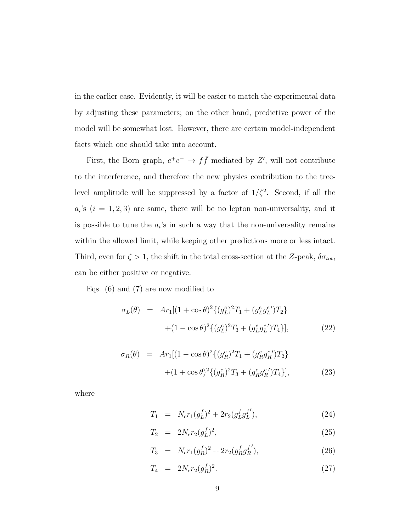in the earlier case. Evidently, it will be easier to match the experimental data by adjusting these parameters; on the other hand, predictive power of the model will be somewhat lost. However, there are certain model-independent facts which one should take into account.

First, the Born graph,  $e^+e^- \rightarrow f\bar{f}$  mediated by Z', will not contribute to the interference, and therefore the new physics contribution to the treelevel amplitude will be suppressed by a factor of  $1/\zeta^2$ . Second, if all the  $a_i$ 's  $(i = 1, 2, 3)$  are same, there will be no lepton non-universality, and it is possible to tune the  $a_i$ 's in such a way that the non-universality remains within the allowed limit, while keeping other predictions more or less intact. Third, even for  $\zeta > 1$ , the shift in the total cross-section at the Z-peak,  $\delta \sigma_{tot}$ , can be either positive or negative.

Eqs. (6) and (7) are now modified to

$$
\sigma_L(\theta) = Ar_1[(1 + \cos \theta)^2 \{ (g_L^e)^2 T_1 + (g_L^e g_L^e') T_2 \} + (1 - \cos \theta)^2 \{ (g_L^e)^2 T_3 + (g_L^e g_L^e') T_4 \}], \tag{22}
$$

$$
\sigma_R(\theta) = Ar_1[(1 - \cos \theta)^2 \{ (g_R^e)^2 T_1 + (g_R^e g_R^e') T_2 \} + (1 + \cos \theta)^2 \{ (g_R^e)^2 T_3 + (g_R^e g_R^e') T_4 \}],
$$
\n(23)

where

$$
T_1 = N_c r_1 (g_L^f)^2 + 2r_2 (g_L^f g_L^{f'}), \qquad (24)
$$

$$
T_2 = 2N_c r_2 (g_L^f)^2, \t\t(25)
$$

$$
T_3 = N_c r_1 (g_R^f)^2 + 2r_2 (g_R^f g_R^{f'}), \qquad (26)
$$

$$
T_4 = 2N_c r_2 (g_R^f)^2. \tag{27}
$$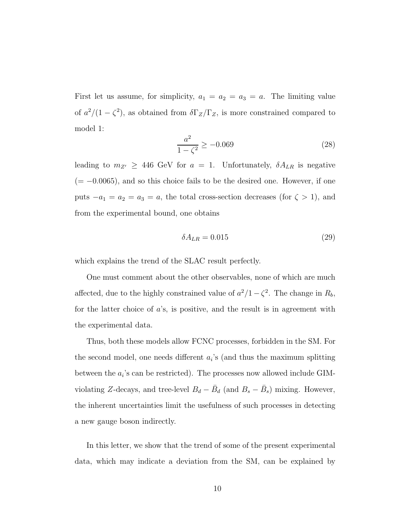First let us assume, for simplicity,  $a_1 = a_2 = a_3 = a$ . The limiting value of  $a^2/(1-\zeta^2)$ , as obtained from  $\delta\Gamma_Z/\Gamma_Z$ , is more constrained compared to model 1:

$$
\frac{a^2}{1 - \zeta^2} \ge -0.069\tag{28}
$$

leading to  $m_{Z'} \geq 446$  GeV for  $a = 1$ . Unfortunately,  $\delta A_{LR}$  is negative  $(=-0.0065)$ , and so this choice fails to be the desired one. However, if one puts  $-a_1 = a_2 = a_3 = a$ , the total cross-section decreases (for  $\zeta > 1$ ), and from the experimental bound, one obtains

$$
\delta A_{LR} = 0.015\tag{29}
$$

which explains the trend of the SLAC result perfectly.

One must comment about the other observables, none of which are much affected, due to the highly constrained value of  $a^2/1-\zeta^2$ . The change in  $R_b$ , for the latter choice of  $a$ 's, is positive, and the result is in agreement with the experimental data.

Thus, both these models allow FCNC processes, forbidden in the SM. For the second model, one needs different  $a_i$ 's (and thus the maximum splitting between the  $a_i$ 's can be restricted). The processes now allowed include GIMviolating Z-decays, and tree-level  $B_d - \bar{B}_d$  (and  $B_s - \bar{B}_s$ ) mixing. However, the inherent uncertainties limit the usefulness of such processes in detecting a new gauge boson indirectly.

In this letter, we show that the trend of some of the present experimental data, which may indicate a deviation from the SM, can be explained by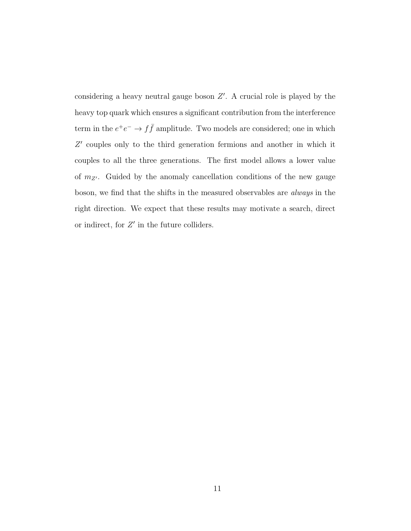considering a heavy neutral gauge boson  $Z'$ . A crucial role is played by the heavy top quark which ensures a significant contribution from the interference term in the  $e^+e^- \to f\bar{f}$  amplitude. Two models are considered; one in which Z ′ couples only to the third generation fermions and another in which it couples to all the three generations. The first model allows a lower value of  $m_{Z'}$ . Guided by the anomaly cancellation conditions of the new gauge boson, we find that the shifts in the measured observables are always in the right direction. We expect that these results may motivate a search, direct or indirect, for  $Z'$  in the future colliders.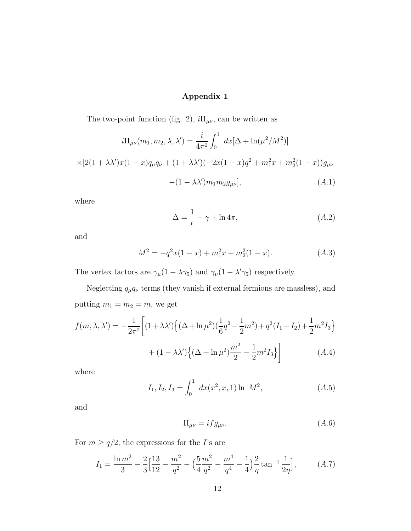### Appendix 1

The two-point function (fig. 2),  $i\Pi_{\mu\nu}$ , can be written as

$$
i\Pi_{\mu\nu}(m_1, m_2, \lambda, \lambda') = \frac{i}{4\pi^2} \int_0^1 dx [\Delta + \ln(\mu^2/M^2)]
$$
  
 
$$
\times [2(1 + \lambda\lambda')x(1 - x)q_{\mu}q_{\nu} + (1 + \lambda\lambda')(-2x(1 - x)q^2 + m_1^2x + m_2^2(1 - x))g_{\mu\nu}
$$
  
 
$$
-(1 - \lambda\lambda')m_1m_2g_{\mu\nu}], \qquad (A.1)
$$

where

$$
\Delta = \frac{1}{\epsilon} - \gamma + \ln 4\pi,\tag{A.2}
$$

and

$$
M^{2} = -q^{2}x(1-x) + m_{1}^{2}x + m_{2}^{2}(1-x).
$$
 (A.3)

The vertex factors are  $\gamma_{\mu} (1 - \lambda \gamma_5)$  and  $\gamma_{\nu} (1 - \lambda' \gamma_5)$  respectively.

Neglecting  $q_{\mu}q_{\nu}$  terms (they vanish if external fermions are massless), and putting  $m_1 = m_2 = m$ , we get

$$
f(m, \lambda, \lambda') = -\frac{1}{2\pi^2} \left[ (1 + \lambda \lambda') \left\{ (\Delta + \ln \mu^2) (\frac{1}{6}q^2 - \frac{1}{2}m^2) + q^2 (I_1 - I_2) + \frac{1}{2}m^2 I_3 \right\} + (1 - \lambda \lambda') \left\{ (\Delta + \ln \mu^2) \frac{m^2}{2} - \frac{1}{2}m^2 I_3 \right\} \right]
$$
(A.4)

where

$$
I_1, I_2, I_3 = \int_0^1 dx(x^2, x, 1) \ln M^2,
$$
 (A.5)

and

$$
\Pi_{\mu\nu} = if g_{\mu\nu}.\tag{A.6}
$$

For  $m \ge q/2$ , the expressions for the *I*'s are

$$
I_1 = \frac{\ln m^2}{3} - \frac{2}{3} \left[ \frac{13}{12} - \frac{m^2}{q^2} - \left( \frac{5}{4} \frac{m^2}{q^2} - \frac{m^4}{q^4} - \frac{1}{4} \right) \frac{2}{\eta} \tan^{-1} \frac{1}{2\eta} \right],\tag{A.7}
$$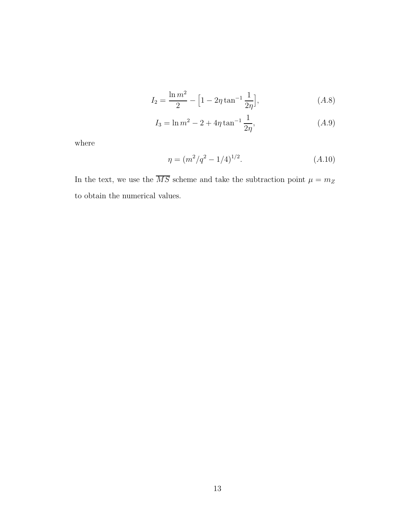$$
I_2 = \frac{\ln m^2}{2} - \left[1 - 2\eta \tan^{-1} \frac{1}{2\eta}\right],\tag{A.8}
$$

$$
I_3 = \ln m^2 - 2 + 4\eta \tan^{-1} \frac{1}{2\eta}, \tag{A.9}
$$

where

$$
\eta = (m^2/q^2 - 1/4)^{1/2}.
$$
\n(A.10)

In the text, we use the  $\overline{MS}$  scheme and take the subtraction point  $\mu=m_Z$ to obtain the numerical values.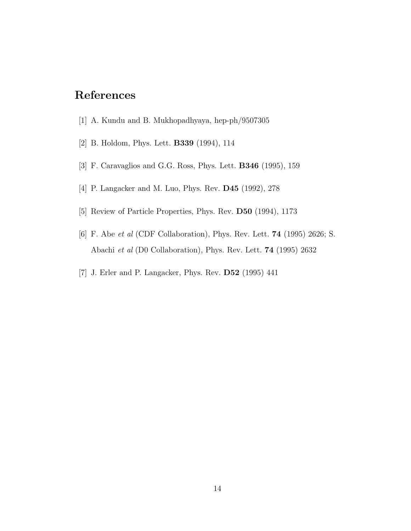# References

- [1] A. Kundu and B. Mukhopadhyaya, hep-ph/9507305
- [2] B. Holdom, Phys. Lett. B339 (1994), 114
- [3] F. Caravaglios and G.G. Ross, Phys. Lett. B346 (1995), 159
- [4] P. Langacker and M. Luo, Phys. Rev. D45 (1992), 278
- [5] Review of Particle Properties, Phys. Rev. D50 (1994), 1173
- [6] F. Abe et al (CDF Collaboration), Phys. Rev. Lett. 74 (1995) 2626; S. Abachi et al (D0 Collaboration), Phys. Rev. Lett. 74 (1995) 2632
- [7] J. Erler and P. Langacker, Phys. Rev. D52 (1995) 441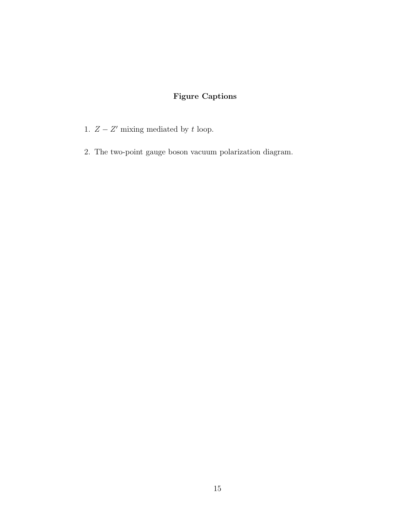### Figure Captions

- 1.  $Z Z'$  mixing mediated by t loop.
- 2. The two-point gauge boson vacuum polarization diagram.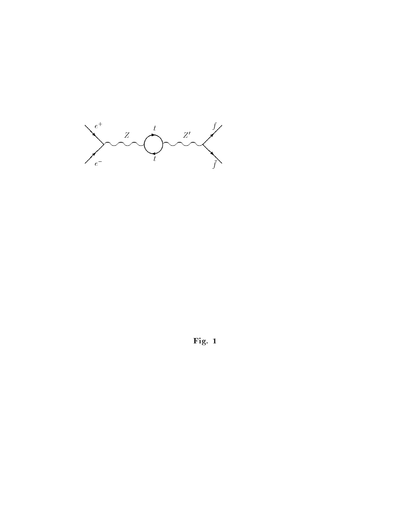

Fig. <sup>1</sup>